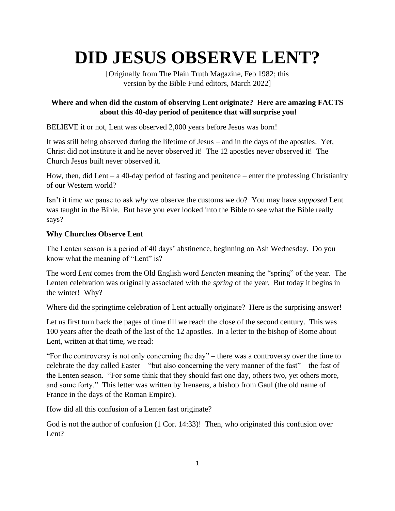# **DID JESUS OBSERVE LENT?**

[Originally from The Plain Truth Magazine, Feb 1982; this version by the Bible Fund editors, March 2022]

# **Where and when did the custom of observing Lent originate? Here are amazing FACTS about this 40-day period of penitence that will surprise you!**

BELIEVE it or not, Lent was observed 2,000 years before Jesus was born!

It was still being observed during the lifetime of Jesus – and in the days of the apostles. Yet, Christ did not institute it and he never observed it! The 12 apostles never observed it! The Church Jesus built never observed it.

How, then, did Lent – a 40-day period of fasting and penitence – enter the professing Christianity of our Western world?

Isn't it time we pause to ask *why* we observe the customs we do? You may have *supposed* Lent was taught in the Bible. But have you ever looked into the Bible to see what the Bible really says?

# **Why Churches Observe Lent**

The Lenten season is a period of 40 days' abstinence, beginning on Ash Wednesday. Do you know what the meaning of "Lent" is?

The word *Lent* comes from the Old English word *Lencten* meaning the "spring" of the year. The Lenten celebration was originally associated with the *spring* of the year. But today it begins in the winter! Why?

Where did the springtime celebration of Lent actually originate? Here is the surprising answer!

Let us first turn back the pages of time till we reach the close of the second century. This was 100 years after the death of the last of the 12 apostles. In a letter to the bishop of Rome about Lent, written at that time, we read:

"For the controversy is not only concerning the day" – there was a controversy over the time to celebrate the day called Easter – "but also concerning the very manner of the fast" – the fast of the Lenten season. "For some think that they should fast one day, others two, yet others more, and some forty." This letter was written by Irenaeus, a bishop from Gaul (the old name of France in the days of the Roman Empire).

How did all this confusion of a Lenten fast originate?

God is not the author of confusion (1 Cor. 14:33)! Then, who originated this confusion over Lent?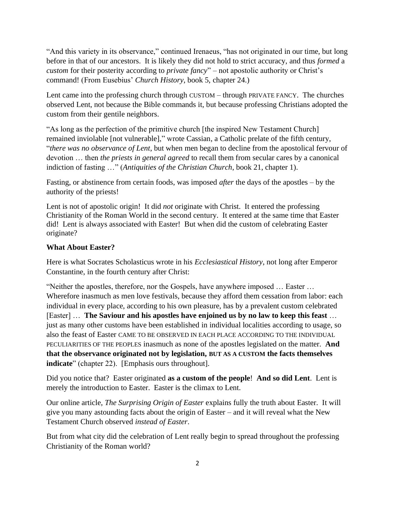"And this variety in its observance," continued Irenaeus, "has not originated in our time, but long before in that of our ancestors. It is likely they did not hold to strict accuracy, and thus *formed* a *custom* for their posterity according to *private fancy*" – not apostolic authority or Christ's command! (From Eusebius' *Church History*, book 5, chapter 24.)

Lent came into the professing church through CUSTOM – through PRIVATE FANCY. The churches observed Lent, not because the Bible commands it, but because professing Christians adopted the custom from their gentile neighbors.

"As long as the perfection of the primitive church [the inspired New Testament Church] remained inviolable [not vulnerable]," wrote Cassian, a Catholic prelate of the fifth century, "*there was no observance of Lent*, but when men began to decline from the apostolical fervour of devotion … then *the priests in general agreed* to recall them from secular cares by a canonical indiction of fasting …" (*Antiquities of the Christian Church*, book 21, chapter 1).

Fasting, or abstinence from certain foods, was imposed *after* the days of the apostles – by the authority of the priests!

Lent is not of apostolic origin! It did *not* originate with Christ. It entered the professing Christianity of the Roman World in the second century. It entered at the same time that Easter did! Lent is always associated with Easter! But when did the custom of celebrating Easter originate?

### **What About Easter?**

Here is what Socrates Scholasticus wrote in his *Ecclesiastical History*, not long after Emperor Constantine, in the fourth century after Christ:

"Neither the apostles, therefore, nor the Gospels, have anywhere imposed … Easter … Wherefore inasmuch as men love festivals, because they afford them cessation from labor: each individual in every place, according to his own pleasure, has by a prevalent custom celebrated [Easter] … **The Saviour and his apostles have enjoined us by no law to keep this feast** … just as many other customs have been established in individual localities according to usage, so also the feast of Easter CAME TO BE OBSERVED IN EACH PLACE ACCORDING TO THE INDIVIDUAL PECULIARITIES OF THE PEOPLES inasmuch as none of the apostles legislated on the matter. **And that the observance originated not by legislation, BUT AS A CUSTOM the facts themselves indicate**" (chapter 22). [Emphasis ours throughout].

Did you notice that? Easter originated **as a custom of the people**! **And so did Lent**. Lent is merely the introduction to Easter. Easter is the climax to Lent.

Our online article, *The Surprising Origin of Easter* explains fully the truth about Easter. It will give you many astounding facts about the origin of Easter – and it will reveal what the New Testament Church observed *instead of Easter*.

But from what city did the celebration of Lent really begin to spread throughout the professing Christianity of the Roman world?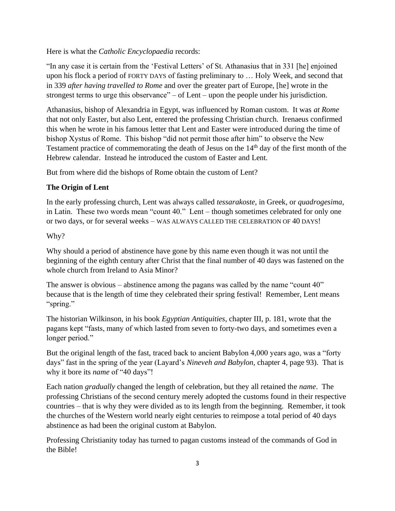Here is what the *Catholic Encyclopaedia* records:

"In any case it is certain from the 'Festival Letters' of St. Athanasius that in 331 [he] enjoined upon his flock a period of FORTY DAYS of fasting preliminary to … Holy Week, and second that in 339 *after having travelled to Rome* and over the greater part of Europe, [he] wrote in the strongest terms to urge this observance" – of Lent – upon the people under his jurisdiction.

Athanasius, bishop of Alexandria in Egypt, was influenced by Roman custom. It was *at Rome* that not only Easter, but also Lent, entered the professing Christian church. Irenaeus confirmed this when he wrote in his famous letter that Lent and Easter were introduced during the time of bishop Xystus of Rome. This bishop "did not permit those after him" to observe the New Testament practice of commemorating the death of Jesus on the 14th day of the first month of the Hebrew calendar. Instead he introduced the custom of Easter and Lent.

But from where did the bishops of Rome obtain the custom of Lent?

### **The Origin of Lent**

In the early professing church, Lent was always called *tessarakoste*, in Greek, or *quadrogesima*, in Latin. These two words mean "count 40." Lent – though sometimes celebrated for only one or two days, or for several weeks – WAS ALWAYS CALLED THE CELEBRATION OF 40 DAYS!

#### Why?

Why should a period of abstinence have gone by this name even though it was not until the beginning of the eighth century after Christ that the final number of 40 days was fastened on the whole church from Ireland to Asia Minor?

The answer is obvious – abstinence among the pagans was called by the name "count 40" because that is the length of time they celebrated their spring festival! Remember, Lent means "spring."

The historian Wilkinson, in his book *Egyptian Antiquities*, chapter III, p. 181, wrote that the pagans kept "fasts, many of which lasted from seven to forty-two days, and sometimes even a longer period."

But the original length of the fast, traced back to ancient Babylon 4,000 years ago, was a "forty days" fast in the spring of the year (Layard's *Nineveh and Babylon*, chapter 4, page 93). That is why it bore its *name* of "40 days"!

Each nation *gradually* changed the length of celebration, but they all retained the *name*. The professing Christians of the second century merely adopted the customs found in their respective countries – that is why they were divided as to its length from the beginning. Remember, it took the churches of the Western world nearly eight centuries to reimpose a total period of 40 days abstinence as had been the original custom at Babylon.

Professing Christianity today has turned to pagan customs instead of the commands of God in the Bible!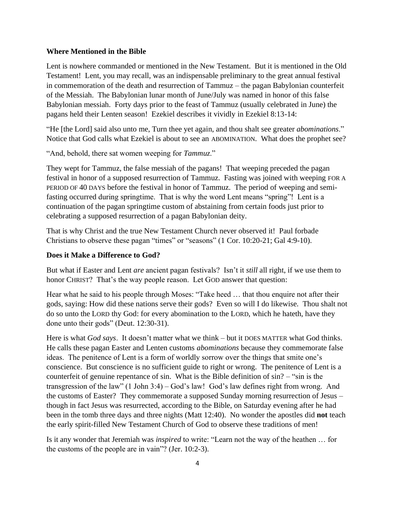#### **Where Mentioned in the Bible**

Lent is nowhere commanded or mentioned in the New Testament. But it is mentioned in the Old Testament! Lent, you may recall, was an indispensable preliminary to the great annual festival in commemoration of the death and resurrection of Tammuz – the pagan Babylonian counterfeit of the Messiah. The Babylonian lunar month of June/July was named in honor of this false Babylonian messiah. Forty days prior to the feast of Tammuz (usually celebrated in June) the pagans held their Lenten season! Ezekiel describes it vividly in Ezekiel 8:13-14:

"He [the Lord] said also unto me, Turn thee yet again, and thou shalt see greater *abominations*." Notice that God calls what Ezekiel is about to see an ABOMINATION. What does the prophet see?

"And, behold, there sat women weeping for *Tammuz*."

They wept for Tammuz, the false messiah of the pagans! That weeping preceded the pagan festival in honor of a supposed resurrection of Tammuz. Fasting was joined with weeping FOR A PERIOD OF 40 DAYS before the festival in honor of Tammuz. The period of weeping and semifasting occurred during springtime. That is why the word Lent means "spring"! Lent is a continuation of the pagan springtime custom of abstaining from certain foods just prior to celebrating a supposed resurrection of a pagan Babylonian deity.

That is why Christ and the true New Testament Church never observed it! Paul forbade Christians to observe these pagan "times" or "seasons" (1 Cor. 10:20-21; Gal 4:9-10).

#### **Does it Make a Difference to God?**

But what if Easter and Lent *are* ancient pagan festivals? Isn't it *still* all right, if we use them to honor CHRIST? That's the way people reason. Let GOD answer that question:

Hear what he said to his people through Moses: "Take heed … that thou enquire not after their gods, saying: How did these nations serve their gods? Even so will I do likewise. Thou shalt not do so unto the LORD thy God: for every abomination to the LORD, which he hateth, have they done unto their gods" (Deut. 12:30-31).

Here is what *God says*. It doesn't matter what we think – but it DOES MATTER what God thinks. He calls these pagan Easter and Lenten customs *abominations* because they commemorate false ideas. The penitence of Lent is a form of worldly sorrow over the things that smite one's conscience. But conscience is no sufficient guide to right or wrong. The penitence of Lent is a counterfeit of genuine repentance of sin. What is the Bible definition of sin? – "sin is the transgression of the law" (1 John 3:4) – God's law! God's law defines right from wrong. And the customs of Easter? They commemorate a supposed Sunday morning resurrection of Jesus – though in fact Jesus was resurrected, according to the Bible, on Saturday evening after he had been in the tomb three days and three nights (Matt 12:40). No wonder the apostles did **not** teach the early spirit-filled New Testament Church of God to observe these traditions of men!

Is it any wonder that Jeremiah was *inspired* to write: "Learn not the way of the heathen … for the customs of the people are in vain"? (Jer. 10:2-3).